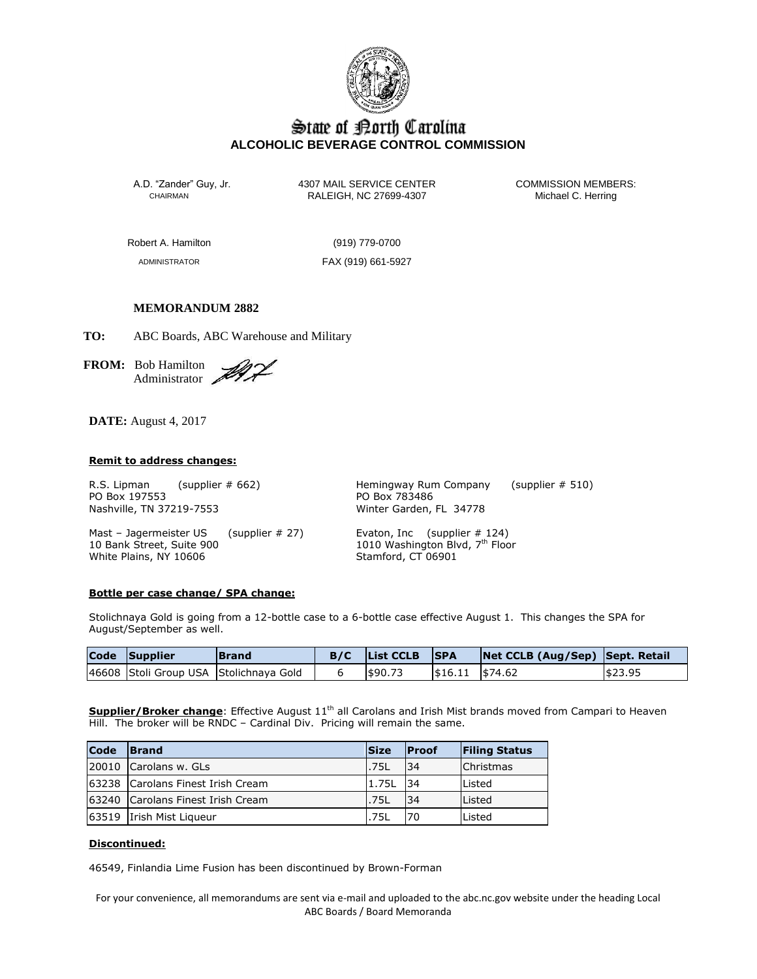

# State of Borth Carolina **ALCOHOLIC BEVERAGE CONTROL COMMISSION**

A.D. "Zander" Guy, Jr. 4307 MAIL SERVICE CENTER COMMISSION MEMBERS:<br>CHAIRMAN CALEIGH, NC 27699-4307 Michael C. Herring RALEIGH, NC 27699-4307

Robert A. Hamilton (919) 779-0700

ADMINISTRATOR FAX (919) 661-5927

## **MEMORANDUM 2882**

**TO:** ABC Boards, ABC Warehouse and Military

**FROM:** Bob Hamilton Administrator .

**DATE:** August 4, 2017

#### **Remit to address changes:**

PO Box 197553 PO Box 783486 Nashville, TN 37219-7553 Winter Garden, FL 34778

R.S. Lipman (supplier # 662) Hemingway Rum Company (supplier # 510)

Mast – Jagermeister US (supplier # 27) Evaton, Inc (supplier # 124) 10 Bank Street, Suite 900 1010 Washington Blvd, 7th Floor White Plains, NY 10606 Stamford, CT 06901

#### **Bottle per case change/ SPA change:**

Stolichnaya Gold is going from a 12-bottle case to a 6-bottle case effective August 1. This changes the SPA for August/September as well.

| Code Supplier | <b>IBrand</b>                          | <b>List CCLB</b> | <b>SPA</b>          | Net CCLB (Aug/Sep) Sept. Retail |         |
|---------------|----------------------------------------|------------------|---------------------|---------------------------------|---------|
|               | 46608 Stoli Group USA Stolichnaya Gold | \$90.73          | $ $16.11$ $ $74.62$ |                                 | \$23.95 |

Supplier/Broker change: Effective August 11<sup>th</sup> all Carolans and Irish Mist brands moved from Campari to Heaven Hill. The broker will be RNDC - Cardinal Div. Pricing will remain the same.

| Code | <b>Size</b><br><b>IBrand</b>         |             | <b>IProof</b> | <b>Filing Status</b> |
|------|--------------------------------------|-------------|---------------|----------------------|
|      | 20010 Carolans w. GLs<br><b>.75L</b> |             | 34            | <b>Christmas</b>     |
|      | 163238 Carolans Finest Irish Cream   | 1.75L       | 34            | lListed              |
|      | 63240 Carolans Finest Irish Cream    | .75L        | 34            | Listed               |
|      | 63519 Irish Mist Liqueur             | <b>.75L</b> |               | Listed               |

### **Discontinued:**

46549, Finlandia Lime Fusion has been discontinued by Brown-Forman

For your convenience, all memorandums are sent via e-mail and uploaded to the abc.nc.gov website under the heading Local ABC Boards / Board Memoranda